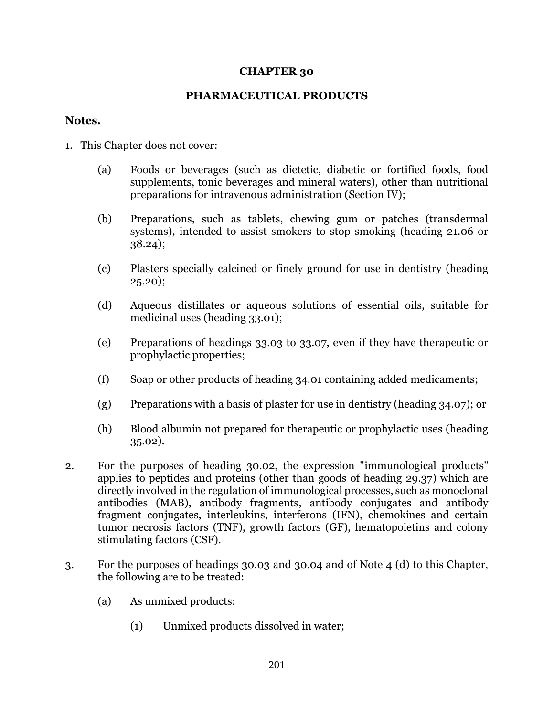#### **CHAPTER 30**

#### **PHARMACEUTICAL PRODUCTS**

#### **Notes.**

- 1. This Chapter does not cover:
	- (a) Foods or beverages (such as dietetic, diabetic or fortified foods, food supplements, tonic beverages and mineral waters), other than nutritional preparations for intravenous administration (Section IV);
	- (b) Preparations, such as tablets, chewing gum or patches (transdermal systems), intended to assist smokers to stop smoking (heading 21.06 or 38.24);
	- (c) Plasters specially calcined or finely ground for use in dentistry (heading 25.20);
	- (d) Aqueous distillates or aqueous solutions of essential oils, suitable for medicinal uses (heading 33.01);
	- (e) Preparations of headings 33.03 to 33.07, even if they have therapeutic or prophylactic properties;
	- (f) Soap or other products of heading 34.01 containing added medicaments;
	- (g) Preparations with a basis of plaster for use in dentistry (heading 34.07); or
	- (h) Blood albumin not prepared for therapeutic or prophylactic uses (heading 35.02).
- 2. For the purposes of heading 30.02, the expression "immunological products" applies to peptides and proteins (other than goods of heading 29.37) which are directly involved in the regulation of immunological processes, such as monoclonal antibodies (MAB), antibody fragments, antibody conjugates and antibody fragment conjugates, interleukins, interferons (IFN), chemokines and certain tumor necrosis factors (TNF), growth factors (GF), hematopoietins and colony stimulating factors (CSF).
- 3. For the purposes of headings 30.03 and 30.04 and of Note 4 (d) to this Chapter, the following are to be treated:
	- (a) As unmixed products:
		- (1) Unmixed products dissolved in water;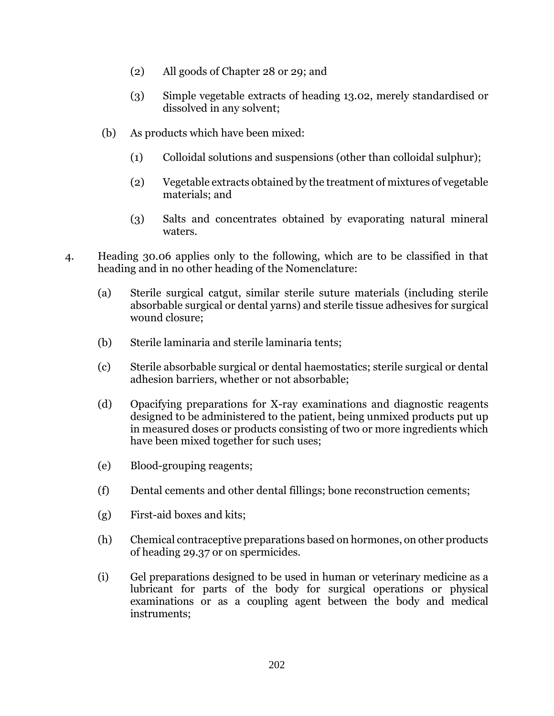- (2) All goods of Chapter 28 or 29; and
- (3) Simple vegetable extracts of heading 13.02, merely standardised or dissolved in any solvent;
- (b) As products which have been mixed:
	- (1) Colloidal solutions and suspensions (other than colloidal sulphur);
	- (2) Vegetable extracts obtained by the treatment of mixtures of vegetable materials; and
	- (3) Salts and concentrates obtained by evaporating natural mineral waters.
- 4. Heading 30.06 applies only to the following, which are to be classified in that heading and in no other heading of the Nomenclature:
	- (a) Sterile surgical catgut, similar sterile suture materials (including sterile absorbable surgical or dental yarns) and sterile tissue adhesives for surgical wound closure;
	- (b) Sterile laminaria and sterile laminaria tents;
	- (c) Sterile absorbable surgical or dental haemostatics; sterile surgical or dental adhesion barriers, whether or not absorbable;
	- (d) Opacifying preparations for X-ray examinations and diagnostic reagents designed to be administered to the patient, being unmixed products put up in measured doses or products consisting of two or more ingredients which have been mixed together for such uses;
	- (e) Blood-grouping reagents;
	- (f) Dental cements and other dental fillings; bone reconstruction cements;
	- (g) First-aid boxes and kits;
	- (h) Chemical contraceptive preparations based on hormones, on other products of heading 29.37 or on spermicides.
	- (i) Gel preparations designed to be used in human or veterinary medicine as a lubricant for parts of the body for surgical operations or physical examinations or as a coupling agent between the body and medical instruments;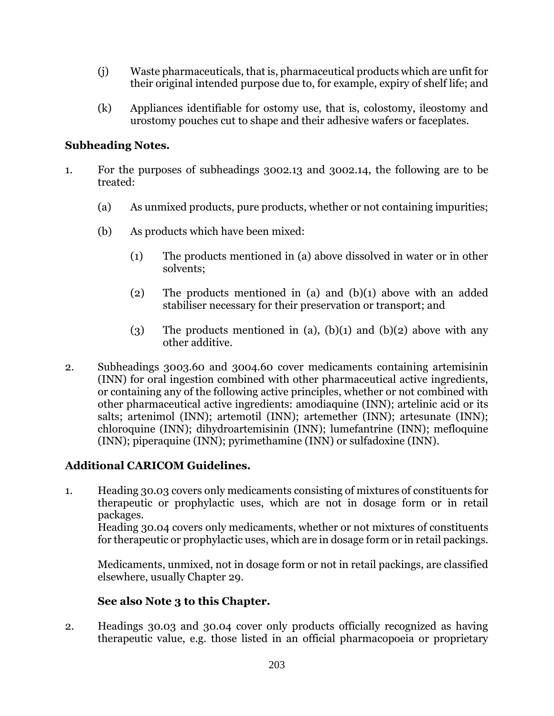- (j) Waste pharmaceuticals, that is, pharmaceutical products which are unfit for their original intended purpose due to, for example, expiry of shelf life; and
- (k) Appliances identifiable for ostomy use, that is, colostomy, ileostomy and urostomy pouches cut to shape and their adhesive wafers or faceplates.

# **Subheading Notes.**

- 1. For the purposes of subheadings 3002.13 and 3002.14, the following are to be treated:
	- (a) As unmixed products, pure products, whether or not containing impurities;
	- (b) As products which have been mixed:
		- (1) The products mentioned in (a) above dissolved in water or in other solvents;
		- (2) The products mentioned in (a) and (b)(1) above with an added stabiliser necessary for their preservation or transport; and
		- (3) The products mentioned in (a),  $(b)(1)$  and  $(b)(2)$  above with any other additive.
- 2. Subheadings 3003.60 and 3004.60 cover medicaments containing artemisinin (INN) for oral ingestion combined with other pharmaceutical active ingredients, or containing any of the following active principles, whether or not combined with other pharmaceutical active ingredients: amodiaquine (INN); artelinic acid or its salts; artenimol (INN); artemotil (INN); artemether (INN); artesunate (INN); chloroquine (INN); dihydroartemisinin (INN); lumefantrine (INN); mefloquine (INN); piperaquine (INN); pyrimethamine (INN) or sulfadoxine (INN).

# **Additional CARICOM Guidelines.**

1. Heading 30.03 covers only medicaments consisting of mixtures of constituents for therapeutic or prophylactic uses, which are not in dosage form or in retail packages.

Heading 30.04 covers only medicaments, whether or not mixtures of constituents for therapeutic or prophylactic uses, which are in dosage form or in retail packings.

Medicaments, unmixed, not in dosage form or not in retail packings, are classified elsewhere, usually Chapter 29.

# **See also Note 3 to this Chapter.**

2. Headings 30.03 and 30.04 cover only products officially recognized as having therapeutic value, e.g. those listed in an official pharmacopoeia or proprietary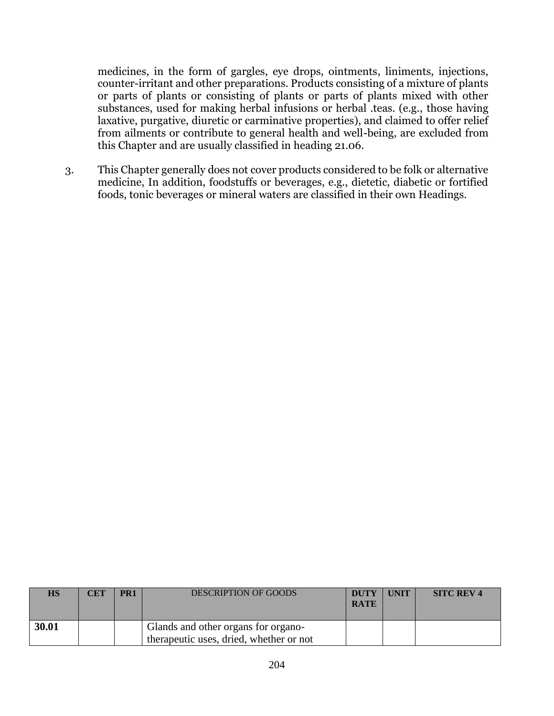medicines, in the form of gargles, eye drops, ointments, liniments, injections, counter-irritant and other preparations. Products consisting of a mixture of plants or parts of plants or consisting of plants or parts of plants mixed with other substances, used for making herbal infusions or herbal .teas. (e.g., those having laxative, purgative, diuretic or carminative properties), and claimed to offer relief from ailments or contribute to general health and well-being, are excluded from this Chapter and are usually classified in heading 21.06.

3. This Chapter generally does not cover products considered to be folk or alternative medicine, In addition, foodstuffs or beverages, e.g., dietetic, diabetic or fortified foods, tonic beverages or mineral waters are classified in their own Headings.

| HS    | <b>CET</b> | PR <sub>1</sub> | <b>DESCRIPTION OF GOODS</b>                                                    | <b>DUTY</b><br><b>RATE</b> | <b>UNIT</b> | <b>SITC REV 4</b> |
|-------|------------|-----------------|--------------------------------------------------------------------------------|----------------------------|-------------|-------------------|
| 30.01 |            |                 | Glands and other organs for organo-<br>therapeutic uses, dried, whether or not |                            |             |                   |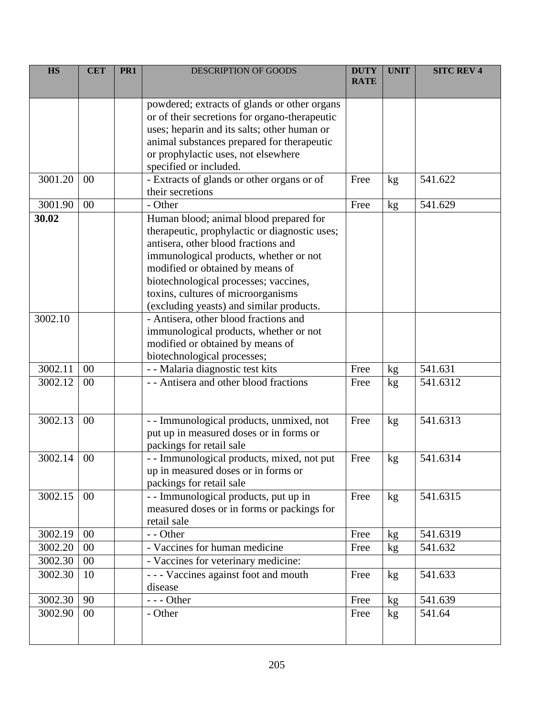| <b>HS</b> | <b>CET</b> | PR <sub>1</sub> | <b>DESCRIPTION OF GOODS</b>                                                | <b>DUTY</b><br><b>RATE</b> | <b>UNIT</b>     | <b>SITC REV 4</b> |
|-----------|------------|-----------------|----------------------------------------------------------------------------|----------------------------|-----------------|-------------------|
|           |            |                 |                                                                            |                            |                 |                   |
|           |            |                 | powdered; extracts of glands or other organs                               |                            |                 |                   |
|           |            |                 | or of their secretions for organo-therapeutic                              |                            |                 |                   |
|           |            |                 | uses; heparin and its salts; other human or                                |                            |                 |                   |
|           |            |                 | animal substances prepared for therapeutic                                 |                            |                 |                   |
|           |            |                 | or prophylactic uses, not elsewhere                                        |                            |                 |                   |
|           |            |                 | specified or included.                                                     |                            |                 |                   |
| 3001.20   | $00\,$     |                 | - Extracts of glands or other organs or of                                 | Free                       | kg              | 541.622           |
|           |            |                 | their secretions                                                           |                            |                 |                   |
| 3001.90   | 00         |                 | - Other                                                                    | Free                       | kg              | 541.629           |
| 30.02     |            |                 | Human blood; animal blood prepared for                                     |                            |                 |                   |
|           |            |                 | therapeutic, prophylactic or diagnostic uses;                              |                            |                 |                   |
|           |            |                 | antisera, other blood fractions and                                        |                            |                 |                   |
|           |            |                 | immunological products, whether or not                                     |                            |                 |                   |
|           |            |                 | modified or obtained by means of                                           |                            |                 |                   |
|           |            |                 | biotechnological processes; vaccines,                                      |                            |                 |                   |
|           |            |                 | toxins, cultures of microorganisms                                         |                            |                 |                   |
|           |            |                 | (excluding yeasts) and similar products.                                   |                            |                 |                   |
| 3002.10   |            |                 | - Antisera, other blood fractions and                                      |                            |                 |                   |
|           |            |                 | immunological products, whether or not<br>modified or obtained by means of |                            |                 |                   |
|           |            |                 | biotechnological processes;                                                |                            |                 |                   |
| 3002.11   | $00\,$     |                 | - - Malaria diagnostic test kits                                           | Free                       | kg              | 541.631           |
| 3002.12   | 00         |                 | - - Antisera and other blood fractions                                     | Free                       | kg              | 541.6312          |
|           |            |                 |                                                                            |                            |                 |                   |
|           |            |                 |                                                                            |                            |                 |                   |
| 3002.13   | 00         |                 | - - Immunological products, unmixed, not                                   | Free                       | kg              | 541.6313          |
|           |            |                 | put up in measured doses or in forms or                                    |                            |                 |                   |
|           |            |                 | packings for retail sale                                                   |                            |                 |                   |
| 3002.14   | 00         |                 | - - Immunological products, mixed, not put                                 | Free                       | kg              | 541.6314          |
|           |            |                 | up in measured doses or in forms or                                        |                            |                 |                   |
|           |            |                 | packings for retail sale                                                   |                            |                 |                   |
| 3002.15   | 00         |                 | - - Immunological products, put up in                                      | Free                       | kg              | 541.6315          |
|           |            |                 | measured doses or in forms or packings for                                 |                            |                 |                   |
|           |            |                 | retail sale                                                                |                            |                 |                   |
| 3002.19   | 00         |                 | - - Other                                                                  | Free                       | kg              | 541.6319          |
| 3002.20   | $00\,$     |                 | - Vaccines for human medicine                                              | Free                       | kg              | 541.632           |
| 3002.30   | 00         |                 | - Vaccines for veterinary medicine:                                        |                            |                 |                   |
| 3002.30   | 10         |                 | --- Vaccines against foot and mouth                                        | Free                       | kg              | 541.633           |
|           |            |                 | disease                                                                    |                            |                 |                   |
| 3002.30   | 90         |                 | --- Other                                                                  | Free                       | kg              | 541.639           |
| 3002.90   | $00\,$     |                 | - Other                                                                    | Free                       | kg <sub>2</sub> | 541.64            |
|           |            |                 |                                                                            |                            |                 |                   |
|           |            |                 |                                                                            |                            |                 |                   |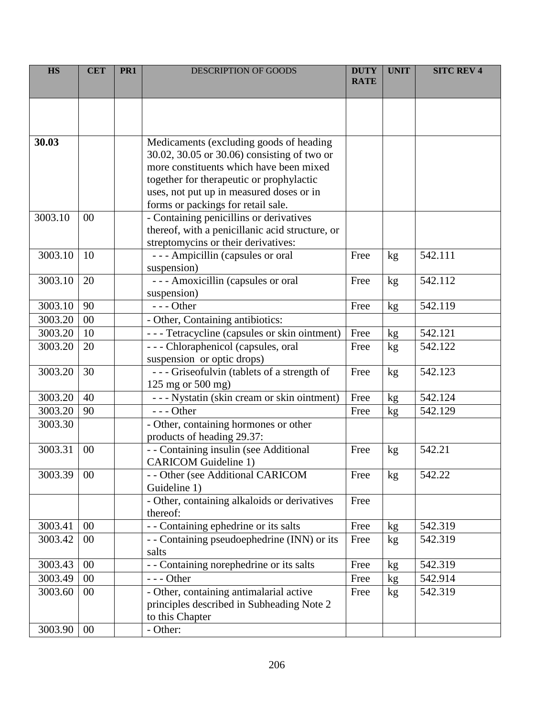| <b>HS</b> | <b>CET</b> | PR <sub>1</sub> | DESCRIPTION OF GOODS                                                                   | <b>DUTY</b><br><b>RATE</b> | <b>UNIT</b> | <b>SITC REV 4</b> |
|-----------|------------|-----------------|----------------------------------------------------------------------------------------|----------------------------|-------------|-------------------|
|           |            |                 |                                                                                        |                            |             |                   |
|           |            |                 |                                                                                        |                            |             |                   |
|           |            |                 |                                                                                        |                            |             |                   |
| 30.03     |            |                 | Medicaments (excluding goods of heading                                                |                            |             |                   |
|           |            |                 | 30.02, 30.05 or 30.06) consisting of two or                                            |                            |             |                   |
|           |            |                 | more constituents which have been mixed                                                |                            |             |                   |
|           |            |                 | together for therapeutic or prophylactic                                               |                            |             |                   |
|           |            |                 | uses, not put up in measured doses or in                                               |                            |             |                   |
|           |            |                 | forms or packings for retail sale.                                                     |                            |             |                   |
| 3003.10   | 00         |                 | - Containing penicillins or derivatives                                                |                            |             |                   |
|           |            |                 | thereof, with a penicillanic acid structure, or                                        |                            |             |                   |
|           |            |                 | streptomycins or their derivatives:                                                    |                            |             |                   |
| 3003.10   | 10         |                 | --- Ampicillin (capsules or oral                                                       | Free                       | kg          | 542.111           |
|           |            |                 | suspension)                                                                            |                            |             |                   |
| 3003.10   | 20         |                 | --- Amoxicillin (capsules or oral                                                      | Free                       | kg          | 542.112           |
|           |            |                 | suspension)                                                                            |                            |             |                   |
| 3003.10   | 90         |                 | $--$ Other                                                                             | Free                       | kg          | 542.119           |
| 3003.20   | 00         |                 | - Other, Containing antibiotics:                                                       |                            |             |                   |
| 3003.20   | 10         |                 | --- Tetracycline (capsules or skin ointment)                                           | Free                       | kg          | 542.121           |
| 3003.20   | 20         |                 | --- Chloraphenicol (capsules, oral                                                     | Free                       | kg          | 542.122           |
|           |            |                 | suspension or optic drops)                                                             |                            |             |                   |
| 3003.20   | 30         |                 | --- Griseofulvin (tablets of a strength of                                             | Free                       | kg          | 542.123           |
| 3003.20   | 40         |                 | $125 \text{ mg}$ or $500 \text{ mg}$ )<br>- - - Nystatin (skin cream or skin ointment) | Free                       |             | 542.124           |
| 3003.20   | 90         |                 | $--$ Other                                                                             | Free                       | kg          | 542.129           |
| 3003.30   |            |                 | - Other, containing hormones or other                                                  |                            | kg          |                   |
|           |            |                 | products of heading 29.37:                                                             |                            |             |                   |
| 3003.31   | 00         |                 | - - Containing insulin (see Additional                                                 | Free                       | kg          | 542.21            |
|           |            |                 | <b>CARICOM Guideline 1)</b>                                                            |                            |             |                   |
| 3003.39   | $00\,$     |                 | - - Other (see Additional CARICOM                                                      | Free                       | kg          | 542.22            |
|           |            |                 | Guideline 1)                                                                           |                            |             |                   |
|           |            |                 | - Other, containing alkaloids or derivatives                                           | Free                       |             |                   |
|           |            |                 | thereof:                                                                               |                            |             |                   |
| 3003.41   | 00         |                 | - - Containing ephedrine or its salts                                                  | Free                       | kg          | 542.319           |
| 3003.42   | $00\,$     |                 | - - Containing pseudoephedrine (INN) or its                                            | Free                       | kg          | 542.319           |
|           |            |                 | salts                                                                                  |                            |             |                   |
| 3003.43   | 00         |                 | - - Containing norephedrine or its salts                                               | Free                       | kg          | 542.319           |
| 3003.49   | 00         |                 | --- Other                                                                              | Free                       | kg          | 542.914           |
| 3003.60   | $00\,$     |                 | - Other, containing antimalarial active                                                | Free                       | kg          | 542.319           |
|           |            |                 | principles described in Subheading Note 2                                              |                            |             |                   |
|           |            |                 | to this Chapter                                                                        |                            |             |                   |
| 3003.90   | $00\,$     |                 | - Other:                                                                               |                            |             |                   |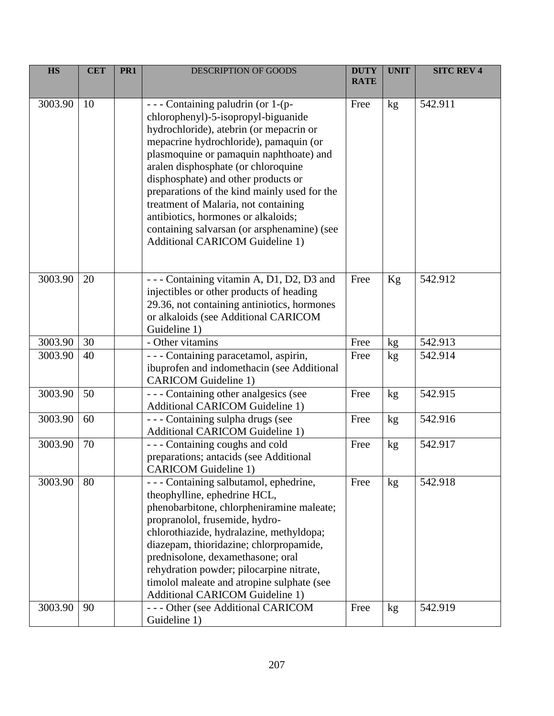| <b>HS</b> | <b>CET</b> | PR1 | DESCRIPTION OF GOODS                                                                                                                                                                                                                                                                                                                                                                                                                                                                                             | <b>DUTY</b><br><b>RATE</b> | <b>UNIT</b>     | <b>SITC REV 4</b> |
|-----------|------------|-----|------------------------------------------------------------------------------------------------------------------------------------------------------------------------------------------------------------------------------------------------------------------------------------------------------------------------------------------------------------------------------------------------------------------------------------------------------------------------------------------------------------------|----------------------------|-----------------|-------------------|
| 3003.90   | 10         |     | - - - Containing paludrin (or 1-(p-<br>chlorophenyl)-5-isopropyl-biguanide<br>hydrochloride), atebrin (or mepacrin or<br>mepacrine hydrochloride), pamaquin (or<br>plasmoquine or pamaquin naphthoate) and<br>aralen disphosphate (or chloroquine<br>disphosphate) and other products or<br>preparations of the kind mainly used for the<br>treatment of Malaria, not containing<br>antibiotics, hormones or alkaloids;<br>containing salvarsan (or arsphenamine) (see<br><b>Additional CARICOM Guideline 1)</b> | Free                       | kg              | 542.911           |
| 3003.90   | 20         |     | - - - Containing vitamin A, D1, D2, D3 and<br>injectibles or other products of heading<br>29.36, not containing antiniotics, hormones<br>or alkaloids (see Additional CARICOM<br>Guideline 1)                                                                                                                                                                                                                                                                                                                    | Free                       | Kg              | 542.912           |
| 3003.90   | 30         |     | - Other vitamins                                                                                                                                                                                                                                                                                                                                                                                                                                                                                                 | Free                       | kg <sub>2</sub> | 542.913           |
| 3003.90   | 40         |     | - - - Containing paracetamol, aspirin,<br>ibuprofen and indomethacin (see Additional<br><b>CARICOM</b> Guideline 1)                                                                                                                                                                                                                                                                                                                                                                                              | Free                       | kg              | 542.914           |
| 3003.90   | 50         |     | --- Containing other analgesics (see<br><b>Additional CARICOM Guideline 1)</b>                                                                                                                                                                                                                                                                                                                                                                                                                                   | Free                       | kg              | 542.915           |
| 3003.90   | 60         |     | --- Containing sulpha drugs (see<br><b>Additional CARICOM Guideline 1)</b>                                                                                                                                                                                                                                                                                                                                                                                                                                       | Free                       | kg              | 542.916           |
| 3003.90   | 70         |     | --- Containing coughs and cold<br>preparations; antacids (see Additional<br><b>CARICOM</b> Guideline 1)                                                                                                                                                                                                                                                                                                                                                                                                          | Free                       | kg              | 542.917           |
| 3003.90   | 80         |     | - - - Containing salbutamol, ephedrine,<br>theophylline, ephedrine HCL,<br>phenobarbitone, chlorpheniramine maleate;<br>propranolol, frusemide, hydro-<br>chlorothiazide, hydralazine, methyldopa;<br>diazepam, thioridazine; chlorpropamide,<br>prednisolone, dexamethasone; oral<br>rehydration powder; pilocarpine nitrate,<br>timolol maleate and atropine sulphate (see<br><b>Additional CARICOM Guideline 1)</b>                                                                                           | Free                       | kg              | 542.918           |
| 3003.90   | 90         |     | --- Other (see Additional CARICOM<br>Guideline 1)                                                                                                                                                                                                                                                                                                                                                                                                                                                                | Free                       | kg              | 542.919           |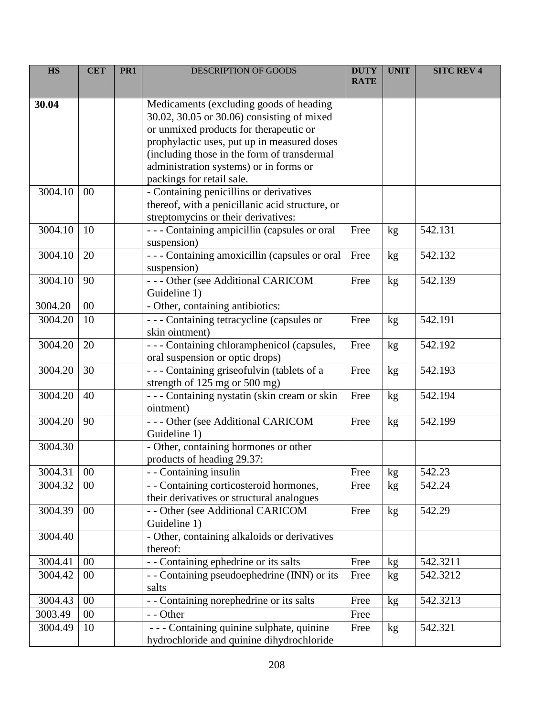| <b>HS</b> | <b>CET</b> | PR <sub>1</sub> | <b>DESCRIPTION OF GOODS</b>                                                  | <b>DUTY</b><br><b>RATE</b> | <b>UNIT</b>      | <b>SITC REV 4</b> |
|-----------|------------|-----------------|------------------------------------------------------------------------------|----------------------------|------------------|-------------------|
|           |            |                 |                                                                              |                            |                  |                   |
| 30.04     |            |                 | Medicaments (excluding goods of heading                                      |                            |                  |                   |
|           |            |                 | 30.02, 30.05 or 30.06) consisting of mixed                                   |                            |                  |                   |
|           |            |                 | or unmixed products for therapeutic or                                       |                            |                  |                   |
|           |            |                 | prophylactic uses, put up in measured doses                                  |                            |                  |                   |
|           |            |                 | (including those in the form of transdermal                                  |                            |                  |                   |
|           |            |                 | administration systems) or in forms or                                       |                            |                  |                   |
|           |            |                 | packings for retail sale.                                                    |                            |                  |                   |
| 3004.10   | 00         |                 | - Containing penicillins or derivatives                                      |                            |                  |                   |
|           |            |                 | thereof, with a penicillanic acid structure, or                              |                            |                  |                   |
|           |            |                 | streptomycins or their derivatives:                                          |                            |                  |                   |
| 3004.10   | 10         |                 | --- Containing ampicillin (capsules or oral                                  | Free                       | kg               | 542.131           |
|           |            |                 | suspension)                                                                  |                            |                  |                   |
| 3004.10   | 20         |                 | --- Containing amoxicillin (capsules or oral                                 | Free                       | kg               | 542.132           |
|           |            |                 | suspension)                                                                  |                            |                  |                   |
| 3004.10   | 90         |                 | --- Other (see Additional CARICOM                                            | Free                       | kg               | 542.139           |
|           |            |                 | Guideline 1)                                                                 |                            |                  |                   |
| 3004.20   | 00         |                 | - Other, containing antibiotics:                                             |                            |                  |                   |
| 3004.20   | 10         |                 | --- Containing tetracycline (capsules or                                     | Free                       | kg               | 542.191           |
|           |            |                 | skin ointment)                                                               |                            |                  |                   |
| 3004.20   | 20         |                 | --- Containing chloramphenicol (capsules,                                    | Free                       | kg               | 542.192           |
| 3004.20   | 30         |                 | oral suspension or optic drops)<br>--- Containing griseofulvin (tablets of a | Free                       |                  | 542.193           |
|           |            |                 | strength of 125 mg or 500 mg)                                                |                            | kg               |                   |
| 3004.20   | 40         |                 | - - - Containing nystatin (skin cream or skin                                | Free                       | kg               | 542.194           |
|           |            |                 | ointment)                                                                    |                            |                  |                   |
| 3004.20   | 90         |                 | --- Other (see Additional CARICOM                                            | Free                       | kg               | 542.199           |
|           |            |                 | Guideline 1)                                                                 |                            |                  |                   |
| 3004.30   |            |                 | - Other, containing hormones or other                                        |                            |                  |                   |
|           |            |                 | products of heading 29.37:                                                   |                            |                  |                   |
| 3004.31   | $00\,$     |                 | - - Containing insulin                                                       | Free                       | $k\underline{g}$ | 542.23            |
| 3004.32   | 00         |                 | - - Containing corticosteroid hormones,                                      | Free                       | kg               | 542.24            |
|           |            |                 | their derivatives or structural analogues                                    |                            |                  |                   |
| 3004.39   | 00         |                 | - - Other (see Additional CARICOM                                            | Free                       | kg               | 542.29            |
|           |            |                 | Guideline 1)                                                                 |                            |                  |                   |
| 3004.40   |            |                 | - Other, containing alkaloids or derivatives                                 |                            |                  |                   |
|           |            |                 | thereof:                                                                     |                            |                  |                   |
| 3004.41   | 00         |                 | - - Containing ephedrine or its salts                                        | Free                       | kg               | 542.3211          |
| 3004.42   | 00         |                 | - - Containing pseudoephedrine (INN) or its                                  | Free                       | kg               | 542.3212          |
|           |            |                 | salts                                                                        |                            |                  |                   |
| 3004.43   | 00         |                 | - - Containing norephedrine or its salts                                     | Free                       | kg               | 542.3213          |
| 3003.49   | $00\,$     |                 | - - Other                                                                    | Free                       |                  |                   |
| 3004.49   | 10         |                 | - - - Containing quinine sulphate, quinine                                   | Free                       | kg               | 542.321           |
|           |            |                 | hydrochloride and quinine dihydrochloride                                    |                            |                  |                   |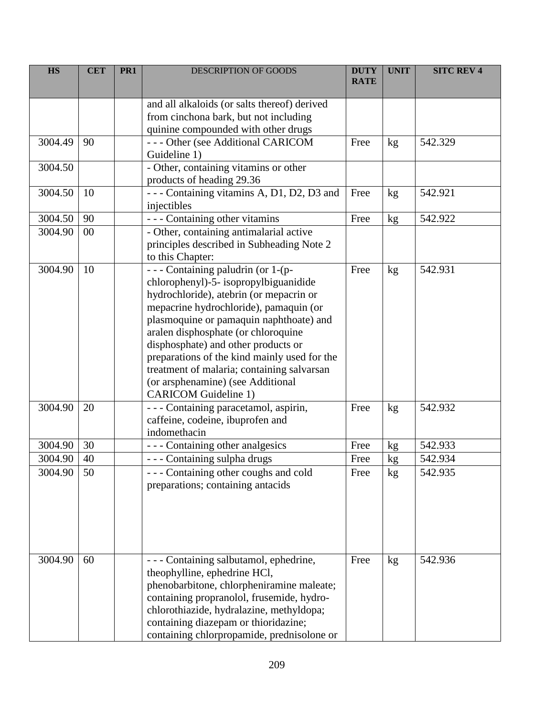| <b>HS</b> | <b>CET</b> | PR <sub>1</sub> | <b>DESCRIPTION OF GOODS</b>                                                                                                                                                                                                                                                                                                                                                                                                                                  | <b>DUTY</b><br><b>RATE</b> | <b>UNIT</b> | <b>SITC REV 4</b> |
|-----------|------------|-----------------|--------------------------------------------------------------------------------------------------------------------------------------------------------------------------------------------------------------------------------------------------------------------------------------------------------------------------------------------------------------------------------------------------------------------------------------------------------------|----------------------------|-------------|-------------------|
|           |            |                 | and all alkaloids (or salts thereof) derived<br>from cinchona bark, but not including<br>quinine compounded with other drugs                                                                                                                                                                                                                                                                                                                                 |                            |             |                   |
| 3004.49   | 90         |                 | --- Other (see Additional CARICOM<br>Guideline 1)                                                                                                                                                                                                                                                                                                                                                                                                            | Free                       | kg          | 542.329           |
| 3004.50   |            |                 | - Other, containing vitamins or other<br>products of heading 29.36                                                                                                                                                                                                                                                                                                                                                                                           |                            |             |                   |
| 3004.50   | 10         |                 | - - - Containing vitamins A, D1, D2, D3 and<br>injectibles                                                                                                                                                                                                                                                                                                                                                                                                   | Free                       | kg          | 542.921           |
| 3004.50   | 90         |                 | - - - Containing other vitamins                                                                                                                                                                                                                                                                                                                                                                                                                              | Free                       | kg          | 542.922           |
| 3004.90   | 00         |                 | - Other, containing antimalarial active<br>principles described in Subheading Note 2<br>to this Chapter:                                                                                                                                                                                                                                                                                                                                                     |                            |             |                   |
| 3004.90   | 10         |                 | - - - Containing paludrin (or 1-(p-<br>chlorophenyl)-5- isopropylbiguanidide<br>hydrochloride), atebrin (or mepacrin or<br>mepacrine hydrochloride), pamaquin (or<br>plasmoquine or pamaquin naphthoate) and<br>aralen disphosphate (or chloroquine<br>disphosphate) and other products or<br>preparations of the kind mainly used for the<br>treatment of malaria; containing salvarsan<br>(or arsphenamine) (see Additional<br><b>CARICOM</b> Guideline 1) | Free                       | kg          | 542.931           |
| 3004.90   | 20         |                 | - - - Containing paracetamol, aspirin,<br>caffeine, codeine, ibuprofen and<br>indomethacin                                                                                                                                                                                                                                                                                                                                                                   | Free                       | kg          | 542.932           |
| 3004.90   | 30         |                 | - - - Containing other analgesics                                                                                                                                                                                                                                                                                                                                                                                                                            | Free                       | kg          | 542.933           |
| 3004.90   | 40         |                 | - - - Containing sulpha drugs                                                                                                                                                                                                                                                                                                                                                                                                                                | Free                       | kg          | 542.934           |
| 3004.90   | 50         |                 | --- Containing other coughs and cold<br>preparations; containing antacids                                                                                                                                                                                                                                                                                                                                                                                    | Free                       | kg          | 542.935           |
| 3004.90   | 60         |                 | - Containing salbutamol, ephedrine,<br>theophylline, ephedrine HCl,<br>phenobarbitone, chlorpheniramine maleate;<br>containing propranolol, frusemide, hydro-<br>chlorothiazide, hydralazine, methyldopa;<br>containing diazepam or thioridazine;<br>containing chlorpropamide, prednisolone or                                                                                                                                                              | Free                       | kg          | 542.936           |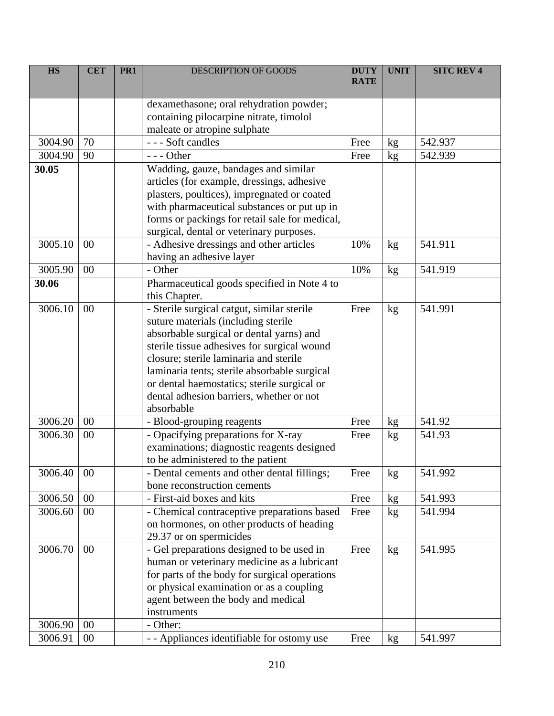| <b>HS</b> | <b>CET</b> | PR <sub>1</sub> | <b>DESCRIPTION OF GOODS</b>                                                              | <b>DUTY</b><br><b>RATE</b> | <b>UNIT</b>     | <b>SITC REV 4</b> |
|-----------|------------|-----------------|------------------------------------------------------------------------------------------|----------------------------|-----------------|-------------------|
|           |            |                 |                                                                                          |                            |                 |                   |
|           |            |                 | dexamethasone; oral rehydration powder;                                                  |                            |                 |                   |
|           |            |                 | containing pilocarpine nitrate, timolol                                                  |                            |                 |                   |
|           |            |                 | maleate or atropine sulphate                                                             |                            |                 |                   |
| 3004.90   | 70         |                 | --- Soft candles                                                                         | Free                       | kg              | 542.937           |
| 3004.90   | 90         |                 | --- Other                                                                                | Free                       | kg              | 542.939           |
| 30.05     |            |                 | Wadding, gauze, bandages and similar                                                     |                            |                 |                   |
|           |            |                 | articles (for example, dressings, adhesive                                               |                            |                 |                   |
|           |            |                 | plasters, poultices), impregnated or coated                                              |                            |                 |                   |
|           |            |                 | with pharmaceutical substances or put up in                                              |                            |                 |                   |
|           |            |                 | forms or packings for retail sale for medical,                                           |                            |                 |                   |
|           |            |                 | surgical, dental or veterinary purposes.                                                 |                            |                 |                   |
| 3005.10   | 00         |                 | - Adhesive dressings and other articles                                                  | 10%                        | kg              | 541.911           |
|           |            |                 | having an adhesive layer                                                                 |                            |                 |                   |
| 3005.90   | 00         |                 | - Other                                                                                  | 10%                        | kg              | 541.919           |
| 30.06     |            |                 | Pharmaceutical goods specified in Note 4 to                                              |                            |                 |                   |
|           |            |                 | this Chapter.                                                                            |                            |                 |                   |
| 3006.10   | 00         |                 | - Sterile surgical catgut, similar sterile                                               | Free                       | kg              | 541.991           |
|           |            |                 | suture materials (including sterile                                                      |                            |                 |                   |
|           |            |                 | absorbable surgical or dental yarns) and                                                 |                            |                 |                   |
|           |            |                 | sterile tissue adhesives for surgical wound                                              |                            |                 |                   |
|           |            |                 | closure; sterile laminaria and sterile                                                   |                            |                 |                   |
|           |            |                 | laminaria tents; sterile absorbable surgical                                             |                            |                 |                   |
|           |            |                 | or dental haemostatics; sterile surgical or                                              |                            |                 |                   |
|           |            |                 | dental adhesion barriers, whether or not                                                 |                            |                 |                   |
|           |            |                 | absorbable                                                                               |                            |                 |                   |
| 3006.20   | 00         |                 | - Blood-grouping reagents                                                                | Free                       | kg              | 541.92            |
| 3006.30   | 00         |                 | - Opacifying preparations for $\overline{X-ray}$                                         | Free                       | kg              | 541.93            |
|           |            |                 | examinations; diagnostic reagents designed                                               |                            |                 |                   |
|           |            |                 | to be administered to the patient                                                        |                            |                 |                   |
| 3006.40   | $00\,$     |                 | - Dental cements and other dental fillings;<br>bone reconstruction cements               | Free                       | kg              | 541.992           |
| 3006.50   | 00         |                 | - First-aid boxes and kits                                                               | Free                       |                 | 541.993           |
|           |            |                 |                                                                                          |                            | kg              |                   |
| 3006.60   | $00\,$     |                 | - Chemical contraceptive preparations based                                              | Free                       | kg <sub>2</sub> | 541.994           |
|           |            |                 | on hormones, on other products of heading                                                |                            |                 |                   |
| 3006.70   | 00         |                 | 29.37 or on spermicides                                                                  |                            |                 | 541.995           |
|           |            |                 | - Gel preparations designed to be used in<br>human or veterinary medicine as a lubricant | Free                       | kg              |                   |
|           |            |                 | for parts of the body for surgical operations                                            |                            |                 |                   |
|           |            |                 | or physical examination or as a coupling                                                 |                            |                 |                   |
|           |            |                 | agent between the body and medical                                                       |                            |                 |                   |
|           |            |                 | instruments                                                                              |                            |                 |                   |
| 3006.90   | $00\,$     |                 | - Other:                                                                                 |                            |                 |                   |
| 3006.91   | $00\,$     |                 | - - Appliances identifiable for ostomy use                                               | Free                       | kg              | 541.997           |
|           |            |                 |                                                                                          |                            |                 |                   |